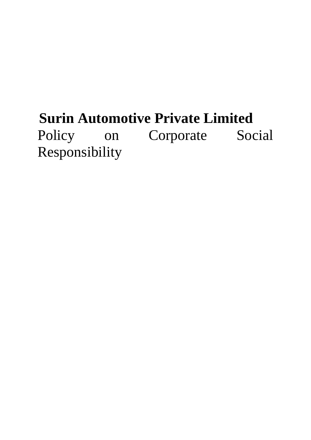# **Surin Automotive Private Limited**  Policy on Corporate Social Responsibility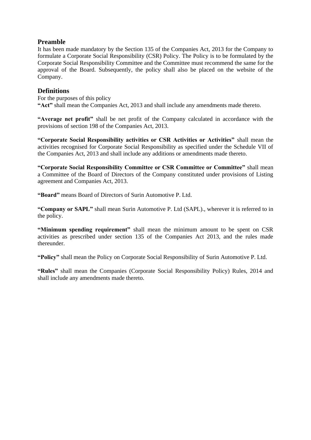# **Preamble**

It has been made mandatory by the Section 135 of the Companies Act, 2013 for the Company to formulate a Corporate Social Responsibility (CSR) Policy. The Policy is to be formulated by the Corporate Social Responsibility Committee and the Committee must recommend the same for the approval of the Board. Subsequently, the policy shall also be placed on the website of the Company.

# **Definitions**

For the purposes of this policy **"Act"** shall mean the Companies Act, 2013 and shall include any amendments made thereto.

**"Average net profit"** shall be net profit of the Company calculated in accordance with the provisions of section 198 of the Companies Act, 2013.

**"Corporate Social Responsibility activities or CSR Activities or Activities"** shall mean the activities recognised for Corporate Social Responsibility as specified under the Schedule VII of the Companies Act, 2013 and shall include any additions or amendments made thereto.

**"Corporate Social Responsibility Committee or CSR Committee or Committee"** shall mean a Committee of the Board of Directors of the Company constituted under provisions of Listing agreement and Companies Act, 2013.

**"Board"** means Board of Directors of Surin Automotive P. Ltd.

**"Company or SAPL"** shall mean Surin Automotive P. Ltd (SAPL)., wherever it is referred to in the policy.

**"Minimum spending requirement"** shall mean the minimum amount to be spent on CSR activities as prescribed under section 135 of the Companies Act 2013, and the rules made thereunder.

**"Policy"** shall mean the Policy on Corporate Social Responsibility of Surin Automotive P. Ltd.

**"Rules"** shall mean the Companies (Corporate Social Responsibility Policy) Rules, 2014 and shall include any amendments made thereto.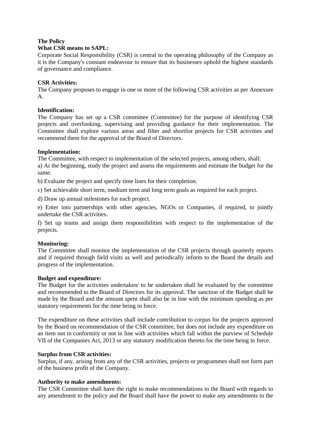# **The Policy**

# **What CSR means to SAPL:**

Corporate Social Responsibility (CSR) is central to the operating philosophy of the Company as it is the Company's constant endeavour to ensure that its businesses uphold the highest standards of governance and compliance.

# **CSR Activities:**

The Company proposes to engage in one or more of the following CSR activities as per Annexure A.

# **Identification:**

The Company has set up a CSR committee (Committee) for the purpose of identifying CSR projects and overlooking, supervising and providing guidance for their implementation. The Committee shall explore various areas and filter and shortlist projects for CSR activities and recommend them for the approval of the Board of Directors.

# **Implementation:**

The Committee, with respect to implementation of the selected projects, among others, shall:

a) At the beginning, study the project and assess the requirements and estimate the budget for the same.

b) Evaluate the project and specify time lines for their completion.

c) Set achievable short term, medium term and long term goals as required for each project.

d) Draw up annual milestones for each project.

e) Enter into partnerships with other agencies, NGOs or Companies, if required, to jointly undertake the CSR activities.

f) Set up teams and assign them responsibilities with respect to the implementation of the projects.

# **Monitoring:**

The Committee shall monitor the implementation of the CSR projects through quarterly reports and if required through field visits as well and periodically inform to the Board the details and progress of the implementation.

# **Budget and expenditure:**

The Budget for the activities undertaken/ to be undertaken shall be evaluated by the committee and recommended to the Board of Directors for its approval. The sanction of the Budget shall be made by the Board and the amount spent shall also be in line with the minimum spending as per statutory requirements for the time being in force.

The expenditure on these activities shall include contribution to corpus for the projects approved by the Board on recommendation of the CSR committee, but does not include any expenditure on an item not in conformity or not in line with activities which fall within the purview of Schedule VII of the Companies Act, 2013 or any statutory modification thereto for the time being in force.

# **Surplus from CSR activities:**

Surplus, if any, arising from any of the CSR activities, projects or programmes shall not form part of the business profit of the Company.

# **Authority to make amendments:**

The CSR Committee shall have the right to make recommendations to the Board with regards to any amendment to the policy and the Board shall have the power to make any amendments to the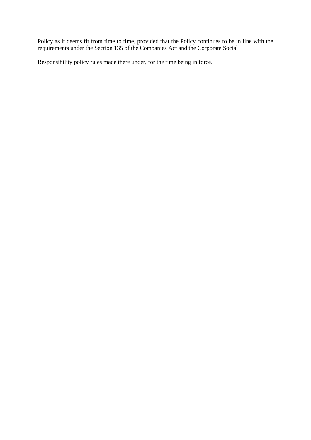Policy as it deems fit from time to time, provided that the Policy continues to be in line with the requirements under the Section 135 of the Companies Act and the Corporate Social

Responsibility policy rules made there under, for the time being in force.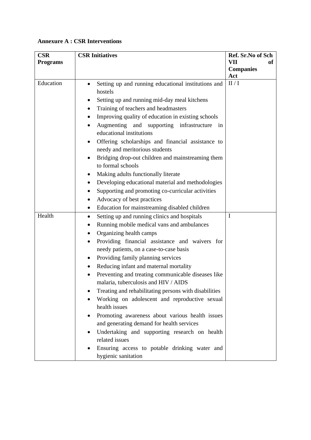# **Annexure A : CSR Interventions**

| <b>CSR</b>      | <b>CSR Initiatives</b>                                                                                                                                                                                                                                                                                                                                                                                                                                                                                                                                  | Ref. Sr.No of Sch       |
|-----------------|---------------------------------------------------------------------------------------------------------------------------------------------------------------------------------------------------------------------------------------------------------------------------------------------------------------------------------------------------------------------------------------------------------------------------------------------------------------------------------------------------------------------------------------------------------|-------------------------|
| <b>Programs</b> |                                                                                                                                                                                                                                                                                                                                                                                                                                                                                                                                                         | VII<br>оf               |
|                 |                                                                                                                                                                                                                                                                                                                                                                                                                                                                                                                                                         | <b>Companies</b><br>Act |
| Education       | Setting up and running educational institutions and<br>hostels<br>Setting up and running mid-day meal kitchens<br>Training of teachers and headmasters<br>Improving quality of education in existing schools<br>Augmenting and supporting infrastructure<br>in<br>educational institutions<br>Offering scholarships and financial assistance to<br>needy and meritorious students<br>Bridging drop-out children and mainstreaming them<br>to formal schools<br>Making adults functionally literate<br>Developing educational material and methodologies | II/I                    |
|                 | Supporting and promoting co-curricular activities                                                                                                                                                                                                                                                                                                                                                                                                                                                                                                       |                         |
|                 | Advocacy of best practices<br>Education for mainstreaming disabled children                                                                                                                                                                                                                                                                                                                                                                                                                                                                             |                         |
| Health          | Setting up and running clinics and hospitals<br>٠                                                                                                                                                                                                                                                                                                                                                                                                                                                                                                       | I                       |
|                 | Running mobile medical vans and ambulances<br>Organizing health camps                                                                                                                                                                                                                                                                                                                                                                                                                                                                                   |                         |
|                 | Providing financial assistance and waivers for<br>needy patients, on a case-to-case basis<br>Providing family planning services                                                                                                                                                                                                                                                                                                                                                                                                                         |                         |
|                 | Reducing infant and maternal mortality                                                                                                                                                                                                                                                                                                                                                                                                                                                                                                                  |                         |
|                 | Preventing and treating communicable diseases like<br>malaria, tuberculosis and HIV / AIDS                                                                                                                                                                                                                                                                                                                                                                                                                                                              |                         |
|                 | Treating and rehabilitating persons with disabilities<br>Working on adolescent and reproductive sexual<br>health issues                                                                                                                                                                                                                                                                                                                                                                                                                                 |                         |
|                 | Promoting awareness about various health issues<br>and generating demand for health services<br>Undertaking and supporting research on health<br>related issues                                                                                                                                                                                                                                                                                                                                                                                         |                         |
|                 | Ensuring access to potable drinking water and<br>hygienic sanitation                                                                                                                                                                                                                                                                                                                                                                                                                                                                                    |                         |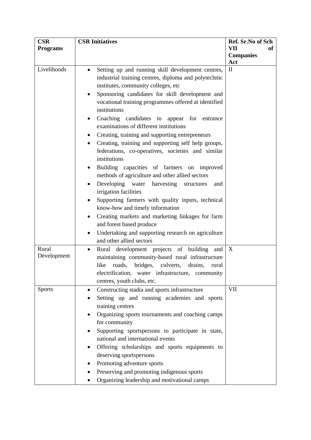| <b>CSR</b>           | <b>CSR Initiatives</b>                                                                      | Ref. Sr.No of Sch |
|----------------------|---------------------------------------------------------------------------------------------|-------------------|
| <b>Programs</b>      |                                                                                             | VII<br>of         |
|                      |                                                                                             | <b>Companies</b>  |
|                      |                                                                                             | Act               |
| Livelihoods          | Setting up and running skill development centres,<br>$\bullet$                              | $\mathbf{I}$      |
|                      | industrial training centres, diploma and polytechnic                                        |                   |
|                      | institutes, community colleges, etc                                                         |                   |
|                      | Sponsoring candidates for skill development and                                             |                   |
|                      | vocational training programmes offered at identified                                        |                   |
|                      | institutions                                                                                |                   |
|                      | Coaching candidates to appear for<br>entrance                                               |                   |
|                      | examinations of different institutions                                                      |                   |
|                      | Creating, training and supporting entrepreneurs                                             |                   |
|                      | Creating, training and supporting self help groups,                                         |                   |
|                      | federations, co-operatives, societies and similar                                           |                   |
|                      | institutions                                                                                |                   |
|                      | Building capacities of farmers on improved<br>$\bullet$                                     |                   |
|                      | methods of agriculture and other allied sectors                                             |                   |
|                      | Developing water harvesting<br>structures<br>and                                            |                   |
|                      | irrigation facilities                                                                       |                   |
|                      | Supporting farmers with quality inputs, technical                                           |                   |
|                      | know-how and timely information                                                             |                   |
|                      | Creating markets and marketing linkages for farm<br>$\bullet$                               |                   |
|                      | and forest based produce                                                                    |                   |
|                      |                                                                                             |                   |
|                      | Undertaking and supporting research on agriculture<br>$\bullet$<br>and other allied sectors |                   |
|                      |                                                                                             |                   |
| Rural<br>Development | Rural development projects of building<br>and<br>$\bullet$                                  | X                 |
|                      | maintaining community-based rural infrastructure                                            |                   |
|                      | bridges, culverts,<br>roads,<br>like<br>drains,<br>rural                                    |                   |
|                      | electrification, water infrastructure, community                                            |                   |
|                      | centres, youth clubs, etc.                                                                  |                   |
| <b>Sports</b>        | Constructing stadia and sports infrastructure                                               | <b>VII</b>        |
|                      | Setting up and running academies and sports                                                 |                   |
|                      | training centres                                                                            |                   |
|                      | Organizing sports tournaments and coaching camps                                            |                   |
|                      | for community                                                                               |                   |
|                      | Supporting sportspersons to participate in state,                                           |                   |
|                      | national and international events                                                           |                   |
|                      | Offering scholarships and sports equipments to                                              |                   |
|                      | deserving sportspersons                                                                     |                   |
|                      | Promoting adventure sports                                                                  |                   |
|                      | Preserving and promoting indigenous sports                                                  |                   |
|                      | Organizing leadership and motivational camps                                                |                   |